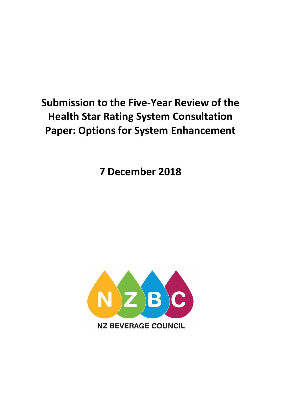# **Submission to the Five-Year Review of the Health Star Rating System Consultation Paper: Options for System Enhancement**

**7 December 2018**

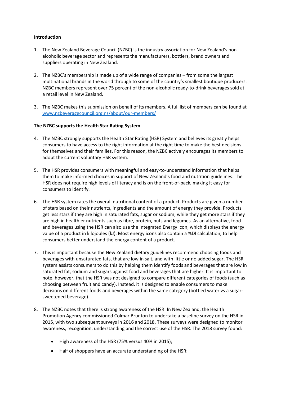### **Introduction**

- 1. The New Zealand Beverage Council (NZBC) is the industry association for New Zealand's nonalcoholic beverage sector and represents the manufacturers, bottlers, brand owners and suppliers operating in New Zealand.
- 2. The NZBC's membership is made up of a wide range of companies from some the largest multinational brands in the world through to some of the country's smallest boutique producers. NZBC members represent over 75 percent of the non-alcoholic ready-to-drink beverages sold at a retail level in New Zealand.
- 3. The NZBC makes this submission on behalf of its members. A full list of members can be found at [www.nzbeveragecouncil.org.nz/about/our-members/](http://www.nzbeveragecouncil.org.nz/about/our-members/)

## **The NZBC supports the Health Star Rating System**

- 4. The NZBC strongly supports the Health Star Rating (HSR) System and believes its greatly helps consumers to have access to the right information at the right time to make the best decisions for themselves and their families. For this reason, the NZBC actively encourages its members to adopt the current voluntary HSR system.
- 5. The HSR provides consumers with meaningful and easy-to-understand information that helps them to make informed choices in support of New Zealand's food and nutrition guidelines. The HSR does not require high levels of literacy and is on the front-of-pack, making it easy for consumers to identify.
- 6. The HSR system rates the overall nutritional content of a product. Products are given a number of stars based on their nutrients, ingredients and the amount of energy they provide. Products get less stars if they are high in saturated fats, sugar or sodium, while they get more stars if they are high in healthier nutrients such as fibre, protein, nuts and legumes. As an alternative, food and beverages using the HSR can also use the Integrated Energy Icon, which displays the energy value of a product in kilojoules (kJ). Most energy icons also contain a %DI calculation, to help consumers better understand the energy content of a product.
- 7. This is important because the New Zealand dietary guidelines recommend choosing foods and beverages with unsaturated fats, that are low in salt, and with little or no added sugar. The HSR system assists consumers to do this by helping them identify foods and beverages that are low in saturated fat, sodium and sugars against food and beverages that are higher. It is important to note, however, that the HSR was not designed to compare different categories of foods (such as choosing between fruit and candy). Instead, it is designed to enable consumers to make decisions on different foods and beverages within the same category (bottled water vs a sugarsweetened beverage).
- 8. The NZBC notes that there is strong awareness of the HSR. In New Zealand, the Health Promotion Agency commissioned Colmar Brunton to undertake a baseline survey on the HSR in 2015, with two subsequent surveys in 2016 and 2018. These surveys were designed to monitor awareness, recognition, understanding and the correct use of the HSR. The 2018 survey found:
	- High awareness of the HSR (75% versus 40% in 2015);
	- Half of shoppers have an accurate understanding of the HSR;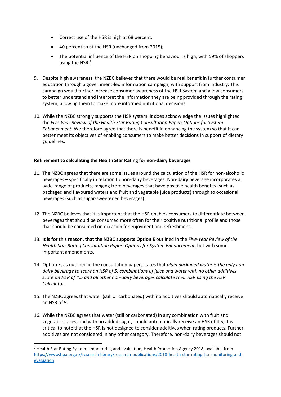- Correct use of the HSR is high at 68 percent;
- 40 percent trust the HSR (unchanged from 2015);
- The potential influence of the HSR on shopping behaviour is high, with 59% of shoppers using the HSR. 1
- 9. Despite high awareness, the NZBC believes that there would be real benefit in further consumer education through a government-led information campaign, with support from industry. This campaign would further increase consumer awareness of the HSR System and allow consumers to better understand and interpret the information they are being provided through the rating system, allowing them to make more informed nutritional decisions.
- 10. While the NZBC strongly supports the HSR system, it does acknowledge the issues highlighted the *Five-Year Review of the Health Star Rating Consultation Paper: Options for System Enhancement.* We therefore agree that there is benefit in enhancing the system so that it can better meet its objectives of enabling consumers to make better decisions in support of dietary guidelines.

# **Refinement to calculating the Health Star Rating for non-dairy beverages**

- 11. The NZBC agrees that there are some issues around the calculation of the HSR for non-alcoholic beverages – specifically in relation to non-dairy beverages. Non-dairy beverage incorporates a wide-range of products, ranging from beverages that have positive health benefits (such as packaged and flavoured waters and fruit and vegetable juice products) through to occasional beverages (such as sugar-sweetened beverages).
- 12. The NZBC believes that it is important that the HSR enables consumers to differentiate between beverages that should be consumed more often for their positive nutritional profile and those that should be consumed on occasion for enjoyment and refreshment.
- 13. **It is for this reason, that the NZBC supports Option E** outlined in the *Five-Year Review of the Health Star Rating Consultation Paper: Options for System Enhancement*, but with some important amendments.
- 14. Option E, as outlined in the consultation paper, states that *plain packaged water is the only nondairy beverage to score an HSR of 5, combinations of juice and water with no other additives score an HSR of 4.5 and all other non-dairy beverages calculate their HSR using the HSR Calculator.*
- 15. The NZBC agrees that water (still or carbonated) with no additives should automatically receive an HSR of 5.
- 16. While the NZBC agrees that water (still or carbonated) in any combination with fruit and vegetable juices, and with no added sugar, should automatically receive an HSR of 4.5, it is critical to note that the HSR is not designed to consider additives when rating products. Further, additives are not considered in any other category. Therefore, non-dairy beverages should not

**.** 

 $1$  Health Star Rating System – monitoring and evaluation, Health Promotion Agency 2018, available from [https://www.hpa.org.nz/research-library/research-publications/2018-health-star-rating-hsr-monitoring-and](https://www.hpa.org.nz/research-library/research-publications/2018-health-star-rating-hsr-monitoring-and-evaluation)[evaluation](https://www.hpa.org.nz/research-library/research-publications/2018-health-star-rating-hsr-monitoring-and-evaluation)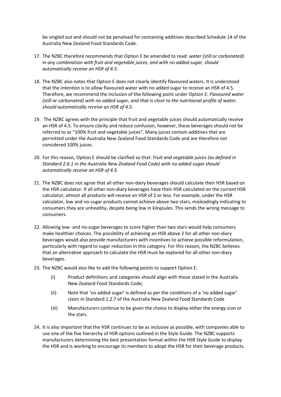be singled out and should not be penalised for containing additives described Schedule 14 of the Australia New Zealand Food Standards Code.

- 17. The NZBC therefore recommends that Option E be amended to read: *water (still or carbonated) in any combination with fruit and vegetable juices, and with no added sugar, should automatically receive an HSR of 4.5*.
- 18. The NZBC also notes that Option E does not clearly identify flavoured waters. It is understood that the intention is to allow flavoured water with no added sugar to receive an HSR of 4.5. Therefore, we recommend the inclusion of the following point under Option E: *Flavoured water (still or carbonated) with no added sugar, and that is close to the nutritional profile of water, should automatically receive an HSR of 4.5*.
- 19. The NZBC agrees with the principle that fruit and vegetable juices should automatically receive an HSR of 4.5. To ensure clarity and reduce confusion, however, these beverages should not be referred to as "100% fruit and vegetable juices". Many juices contain additives that are permitted under the Australia New Zealand Food Standards Code and are therefore not considered 100% juices.
- 20. For this reason, Option E should be clarified so that: *Fruit and vegetable juices (as defined in Standard 2.6.1 in the Australia New Zealand Food Code) with no added sugar should automatically receive an HSR of 4.5.*
- 21. The NZBC does not agree that all other non-dairy beverages should calculate their HSR based on the HSR calculator. If all other non-diary beverages have their HSR calculated on the current HSR calculator, almost all products will receive an HSR of 2 or less. For example, under the HSR calculator, low and no-sugar products cannot achieve above two stars, misleadingly indicating to consumers they are unhealthy, despite being low in kilojoules. This sends the wrong message to consumers.
- 22. Allowing low- and no-sugar beverages to score higher than two stars would help consumers make healthier choices. The possibility of achieving an HSR above 2 for all other non-diary beverages would also provide manufacturers with incentives to achieve possible reformulation, particularly with regard to sugar reduction in this category. For this reason, the NZBC believes that an alternative approach to calculate the HSR must be explored for all other non-diary beverages.
- 23. The NZBC would also like to add the following points to support Option E:
	- (i) Product definitions and categories should align with those stated in the Australia New Zealand Food Standards Code;
	- (ii) Note that 'no added sugar' is defined as per the conditions of a 'no added sugar' claim in Standard 1.2.7 of the Australia New Zealand Food Standards Code
	- (iii) Manufacturers continue to be given the choice to display either the energy icon or the stars.
- 24. It is also important that the HSR continues to be as inclusive as possible, with companies able to use one of the five hierarchy of HSR options outlined in the Style Guide. The NZBC supports manufacturers determining the best presentation format within the HSR Style Guide to display the HSR and is working to encourage its members to adopt the HSR for their beverage products.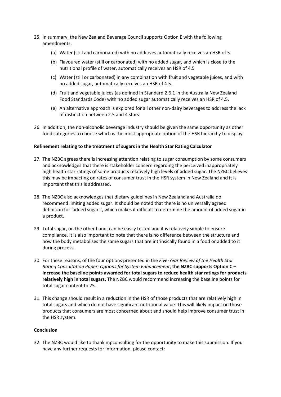- 25. In summary, the New Zealand Beverage Council supports Option E with the following amendments:
	- (a) Water (still and carbonated) with no additives automatically receives an HSR of 5.
	- (b) Flavoured water (still or carbonated) with no added sugar, and which is close to the nutritional profile of water, automatically receives an HSR of 4.5
	- (c) Water (still or carbonated) in any combination with fruit and vegetable juices, and with no added sugar, automatically receives an HSR of 4.5.
	- (d) Fruit and vegetable juices (as defined in Standard 2.6.1 in the Australia New Zealand Food Standards Code) with no added sugar automatically receives an HSR of 4.5.
	- (e) An alternative approach is explored for all other non-dairy beverages to address the lack of distinction between 2.5 and 4 stars.
- 26. In addition, the non-alcoholic beverage industry should be given the same opportunity as other food categories to choose which is the most appropriate option of the HSR hierarchy to display.

## **Refinement relating to the treatment of sugars in the Health Star Rating Calculator**

- 27. The NZBC agrees there is increasing attention relating to sugar consumption by some consumers and acknowledges that there is stakeholder concern regarding the perceived inappropriately high health star ratings of some products relatively high levels of added sugar. The NZBC believes this may be impacting on rates of consumer trust in the HSR system in New Zealand and it is important that this is addressed.
- 28. The NZBC also acknowledges that dietary guidelines in New Zealand and Australia do recommend limiting added sugar. It should be noted that there is no universally agreed definition for 'added sugars', which makes it difficult to determine the amount of added sugar in a product.
- 29. Total sugar, on the other hand, can be easily tested and it is relatively simple to ensure compliance. It is also important to note that there is no difference between the structure and how the body metabolises the same sugars that are intrinsically found in a food or added to it during process.
- 30. For these reasons, of the four options presented in the *Five-Year Review of the Health Star Rating Consultation Paper: Options for System Enhancement*, **the NZBC supports Option C – Increase the baseline points awarded for total sugars to reduce health star ratings for products relatively high in total sugars**. The NZBC would recommend increasing the baseline points for total sugar content to 25.
- 31. This change should result in a reduction in the HSR of those products that are relatively high in total sugars and which do not have significant nutritional value. This will likely impact on those products that consumers are most concerned about and should help improve consumer trust in the HSR system.

### **Conclusion**

32. The NZBC would like to thank mpconsulting for the opportunity to make this submission. If you have any further requests for information, please contact: